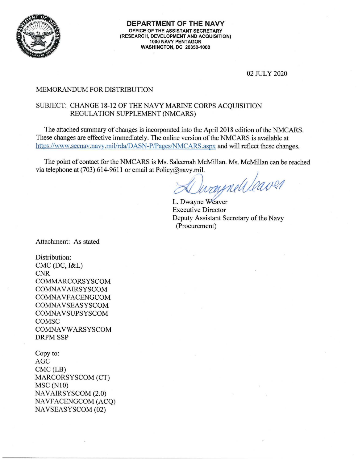

02 JULY 2020

#### MEMORANDUM FOR DISTRIBUTION

### SUBJECT: CHANGE 18-12 OF THE NAVY MARINE CORPS ACOUISITION REGULATION SUPPLEMENT (NMCARS)

The attached swnmary of changes is incorporated into the April 2018 edition of the NMCARS. These changes are effective immediately. The online version of the NMCARS is available at https://www.secnav.navy.mil/rda/DASN-P/Pages/NMCARS.aspx and will reflect these changes.

The point of contact for the NMCARS is Ms. Saleemah McMillan. Ms. McMillan can be reached via telephone at (703) 614-9611 or email at Policy@navy.mil.

via telephone at (703) 614-9611 or email at Policy@navy.mil.<br>L. Dwayne Weaver

Executive Director Deputy Assistant Secretary of the Navy (Procurement)

Attachment: As stated

Distribution: CMC (DC, I&L) CNR COMMARCORSYSCOM **COMNAVAIRSYSCOM** COMNAVFACENGCOM COMNAVSEASYSCOM **COMNAVSUPSYSCOM** COMSC **COMNAVWARSYSCOM** DRPM SSP

Copy to: AGC CMC (LB) MARCORSYSCOM (CT) **MSC** (N10) NAVAIRSYSCOM (2.0) NA VFACENGCOM (ACQ) NAVSEASYSCOM (02)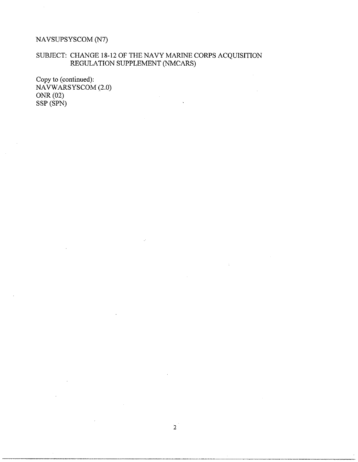## NAVSUPSYSCOM (N7)

## SUBJECT: CHANGE 18-12 OF THE NAVY MARINE CORPS ACQUISITION REGULATION SUPPLEMENT (NMCARS)

 $\ddot{\phantom{a}}$ 

 $\mathbb{C}$ 

Copy to (continued): NAVW ARSYSCOM (2.0) ONR (02) SSP (SPN)

 $\mathcal{L}$ 

 $\sim$ 

 $\bar{\gamma}$